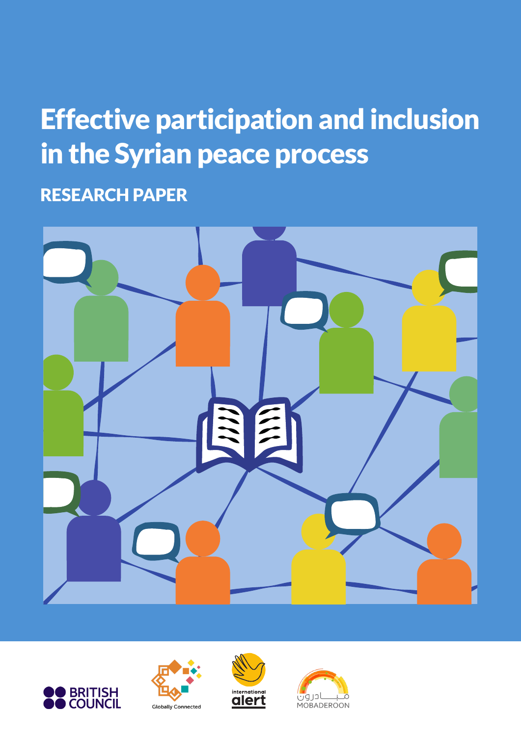# Effective participation and inclusion in the Syrian peace process

RESEARCH PAPER









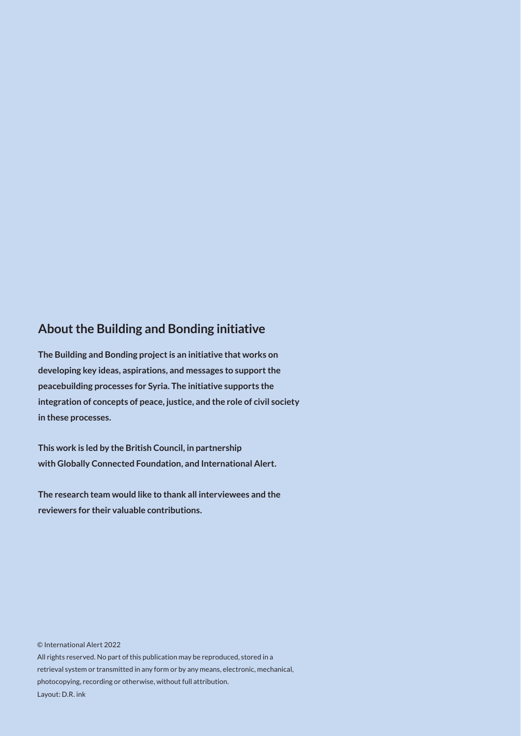#### **About the Building and Bonding initiative**

**The Building and Bonding project is an initiative that works on developing key ideas, aspirations, and messages to support the peacebuilding processes for Syria. The initiative supports the integration of concepts of peace, justice, and the role of civil society in these processes.**

**This work is led by the British Council, in partnership with Globally Connected Foundation, and International Alert.**

**The research team would like to thank all interviewees and the reviewers for their valuable contributions.** 

© International Alert 2022 All rights reserved. No part of this publication may be reproduced, stored in a retrieval system or transmitted in any form or by any means, electronic, mechanical, photocopying, recording or otherwise, without full attribution. Layout: D.R. ink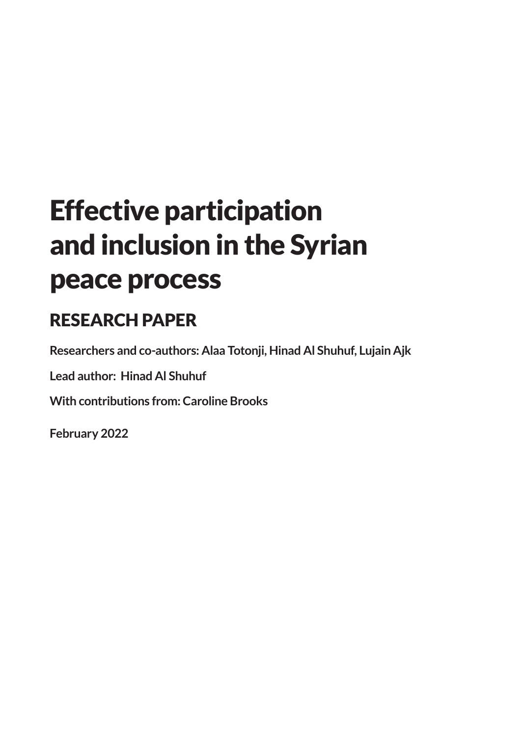# Effective participation and inclusion in the Syrian peace process

#### RESEARCH PAPER

**Researchers and co-authors: Alaa Totonji, Hinad Al Shuhuf, Lujain Ajk** 

**Lead author: Hinad Al Shuhuf** 

**With contributions from: Caroline Brooks**

**February 2022**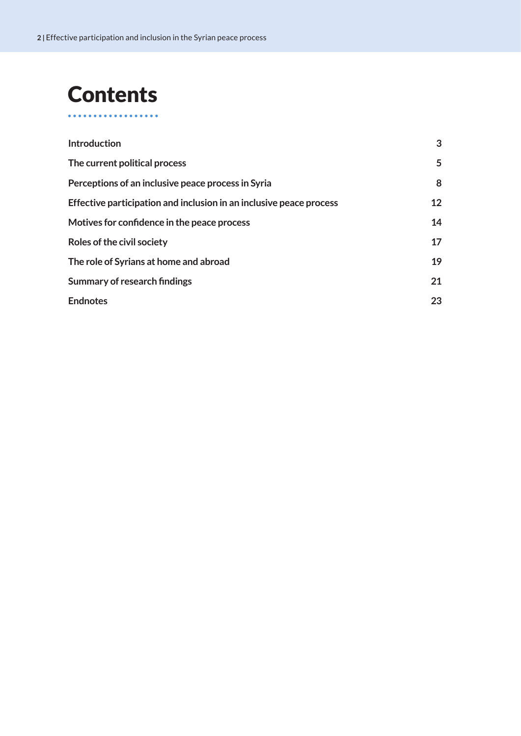## **Contents**

. . . . . . . . . . . . . . .

| <b>Introduction</b>                                                 | 3  |
|---------------------------------------------------------------------|----|
| The current political process                                       | 5  |
| Perceptions of an inclusive peace process in Syria                  | 8  |
| Effective participation and inclusion in an inclusive peace process | 12 |
| Motives for confidence in the peace process                         | 14 |
| Roles of the civil society                                          | 17 |
| The role of Syrians at home and abroad                              | 19 |
| <b>Summary of research findings</b>                                 | 21 |
| <b>Endnotes</b>                                                     | 23 |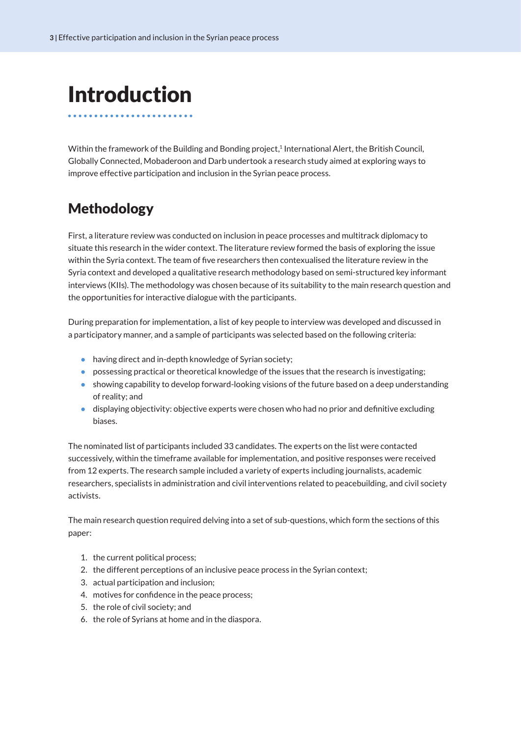## <span id="page-4-0"></span>Introduction

Within the framework of the Building and Bonding project,<sup>1</sup> International Alert, the British Council, Globally Connected, Mobaderoon and Darb undertook a research study aimed at exploring ways to improve effective participation and inclusion in the Syrian peace process.

#### Methodology

First, a literature review was conducted on inclusion in peace processes and multitrack diplomacy to situate this research in the wider context. The literature review formed the basis of exploring the issue within the Syria context. The team of five researchers then contexualised the literature review in the Syria context and developed a qualitative research methodology based on semi-structured key informant interviews (KIIs). The methodology was chosen because of its suitability to the main research question and the opportunities for interactive dialogue with the participants.

During preparation for implementation, a list of key people to interview was developed and discussed in a participatory manner, and a sample of participants was selected based on the following criteria:

- having direct and in-depth knowledge of Syrian society;
- possessing practical or theoretical knowledge of the issues that the research is investigating;
- showing capability to develop forward-looking visions of the future based on a deep understanding of reality; and
- displaying objectivity: objective experts were chosen who had no prior and definitive excluding biases.

The nominated list of participants included 33 candidates. The experts on the list were contacted successively, within the timeframe available for implementation, and positive responses were received from 12 experts. The research sample included a variety of experts including journalists, academic researchers, specialists in administration and civil interventions related to peacebuilding, and civil society activists.

The main research question required delving into a set of sub-questions, which form the sections of this paper:

- 1. the current political process;
- 2. the different perceptions of an inclusive peace process in the Syrian context;
- 3. actual participation and inclusion;
- 4. motives for confidence in the peace process;
- 5. the role of civil society; and
- 6. the role of Syrians at home and in the diaspora.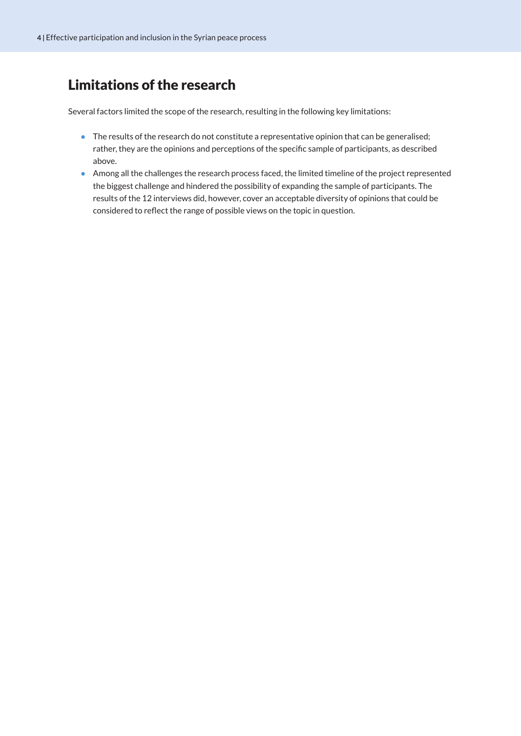#### Limitations of the research

Several factors limited the scope of the research, resulting in the following key limitations:

- The results of the research do not constitute a representative opinion that can be generalised; rather, they are the opinions and perceptions of the specific sample of participants, as described above.
- Among all the challenges the research process faced, the limited timeline of the project represented the biggest challenge and hindered the possibility of expanding the sample of participants. The results of the 12 interviews did, however, cover an acceptable diversity of opinions that could be considered to reflect the range of possible views on the topic in question.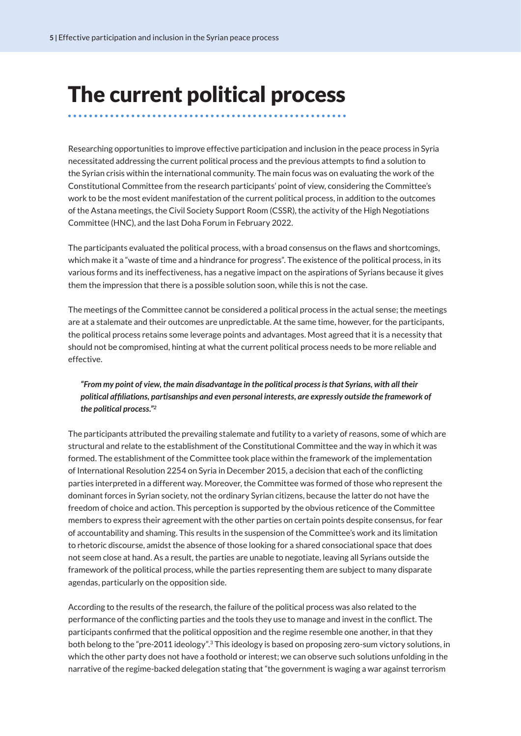### <span id="page-6-0"></span>The current political process

Researching opportunities to improve effective participation and inclusion in the peace process in Syria necessitated addressing the current political process and the previous attempts to find a solution to the Syrian crisis within the international community. The main focus was on evaluating the work of the Constitutional Committee from the research participants' point of view, considering the Committee's work to be the most evident manifestation of the current political process, in addition to the outcomes of the Astana meetings, the Civil Society Support Room (CSSR), the activity of the High Negotiations Committee (HNC), and the last Doha Forum in February 2022.

The participants evaluated the political process, with a broad consensus on the flaws and shortcomings, which make it a "waste of time and a hindrance for progress". The existence of the political process, in its various forms and its ineffectiveness, has a negative impact on the aspirations of Syrians because it gives them the impression that there is a possible solution soon, while this is not the case.

The meetings of the Committee cannot be considered a political process in the actual sense; the meetings are at a stalemate and their outcomes are unpredictable. At the same time, however, for the participants, the political process retains some leverage points and advantages. Most agreed that it is a necessity that should not be compromised, hinting at what the current political process needs to be more reliable and effective.

#### *"From my point of view, the main disadvantage in the political process is that Syrians, with all their political affiliations, partisanships and even personal interests, are expressly outside the framework of the political process."[2](#page-24-0)*

The participants attributed the prevailing stalemate and futility to a variety of reasons, some of which are structural and relate to the establishment of the Constitutional Committee and the way in which it was formed. The establishment of the Committee took place within the framework of the implementation of International Resolution 2254 on Syria in December 2015, a decision that each of the conflicting parties interpreted in a different way. Moreover, the Committee was formed of those who represent the dominant forces in Syrian society, not the ordinary Syrian citizens, because the latter do not have the freedom of choice and action. This perception is supported by the obvious reticence of the Committee members to express their agreement with the other parties on certain points despite consensus, for fear of accountability and shaming. This results in the suspension of the Committee's work and its limitation to rhetoric discourse, amidst the absence of those looking for a shared consociational space that does not seem close at hand. As a result, the parties are unable to negotiate, leaving all Syrians outside the framework of the political process, while the parties representing them are subject to many disparate agendas, particularly on the opposition side.

According to the results of the research, the failure of the political process was also related to the performance of the conflicting parties and the tools they use to manage and invest in the conflict. The participants confirmed that the political opposition and the regime resemble one another, in that they both belong to the "pre-2011 ideology"[.3](#page-24-0) This ideology is based on proposing zero-sum victory solutions, in which the other party does not have a foothold or interest; we can observe such solutions unfolding in the narrative of the regime-backed delegation stating that "the government is waging a war against terrorism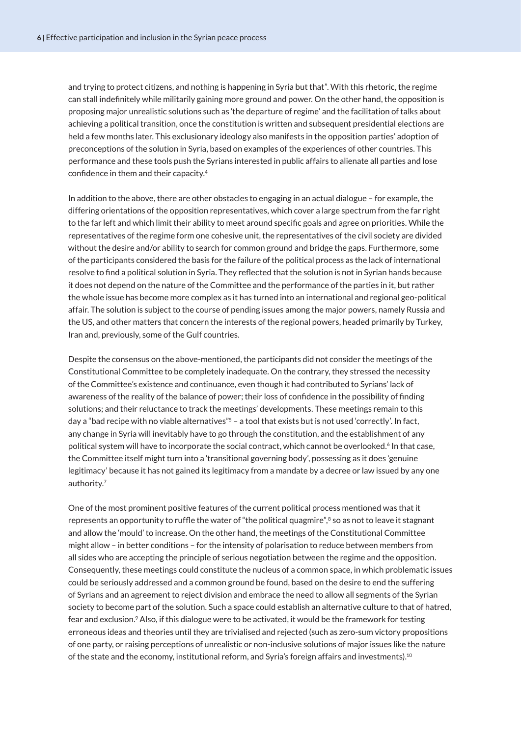<span id="page-7-0"></span>and trying to protect citizens, and nothing is happening in Syria but that". With this rhetoric, the regime can stall indefinitely while militarily gaining more ground and power. On the other hand, the opposition is proposing major unrealistic solutions such as 'the departure of regime' and the facilitation of talks about achieving a political transition, once the constitution is written and subsequent presidential elections are held a few months later. This exclusionary ideology also manifests in the opposition parties' adoption of preconceptions of the solution in Syria, based on examples of the experiences of other countries. This performance and these tools push the Syrians interested in public affairs to alienate all parties and lose confidence in them and their capacity.[4](#page-24-0)

In addition to the above, there are other obstacles to engaging in an actual dialogue – for example, the differing orientations of the opposition representatives, which cover a large spectrum from the far right to the far left and which limit their ability to meet around specific goals and agree on priorities. While the representatives of the regime form one cohesive unit, the representatives of the civil society are divided without the desire and/or ability to search for common ground and bridge the gaps. Furthermore, some of the participants considered the basis for the failure of the political process as the lack of international resolve to find a political solution in Syria. They reflected that the solution is not in Syrian hands because it does not depend on the nature of the Committee and the performance of the parties in it, but rather the whole issue has become more complex as it has turned into an international and regional geo-political affair. The solution is subject to the course of pending issues among the major powers, namely Russia and the US, and other matters that concern the interests of the regional powers, headed primarily by Turkey, Iran and, previously, some of the Gulf countries.

Despite the consensus on the above-mentioned, the participants did not consider the meetings of the Constitutional Committee to be completely inadequate. On the contrary, they stressed the necessity of the Committee's existence and continuance, even though it had contributed to Syrians' lack of awareness of the reality of the balance of power; their loss of confidence in the possibility of finding solutions; and their reluctance to track the meetings' developments. These meetings remain to this day a "bad recipe with no viable alternatives"<sup>5</sup> - a tool that exists but is not used 'correctly'. In fact, any change in Syria will inevitably have to go through the constitution, and the establishment of any political system will have to incorporate the social contract, which cannot be overlooked.<sup>6</sup> In that case, the Committee itself might turn into a 'transitional governing body', possessing as it does 'genuine legitimacy' because it has not gained its legitimacy from a mandate by a decree or law issued by any one authority.[7](#page-24-0)

One of the most prominent positive features of the current political process mentioned was that it represents an opportunity to ruffle the water of "the political quagmire",<sup>[8](#page-24-0)</sup> so as not to leave it stagnant and allow the 'mould' to increase. On the other hand, the meetings of the Constitutional Committee might allow – in better conditions – for the intensity of polarisation to reduce between members from all sides who are accepting the principle of serious negotiation between the regime and the opposition. Consequently, these meetings could constitute the nucleus of a common space, in which problematic issues could be seriously addressed and a common ground be found, based on the desire to end the suffering of Syrians and an agreement to reject division and embrace the need to allow all segments of the Syrian society to become part of the solution. Such a space could establish an alternative culture to that of hatred, fear and exclusion.<sup>9</sup> Also, if this dialogue were to be activated, it would be the framework for testing erroneous ideas and theories until they are trivialised and rejected (such as zero-sum victory propositions of one party, or raising perceptions of unrealistic or non-inclusive solutions of major issues like the nature of the state and the economy, institutional reform, and Syria's foreign affairs and investments)[.10](#page-24-0)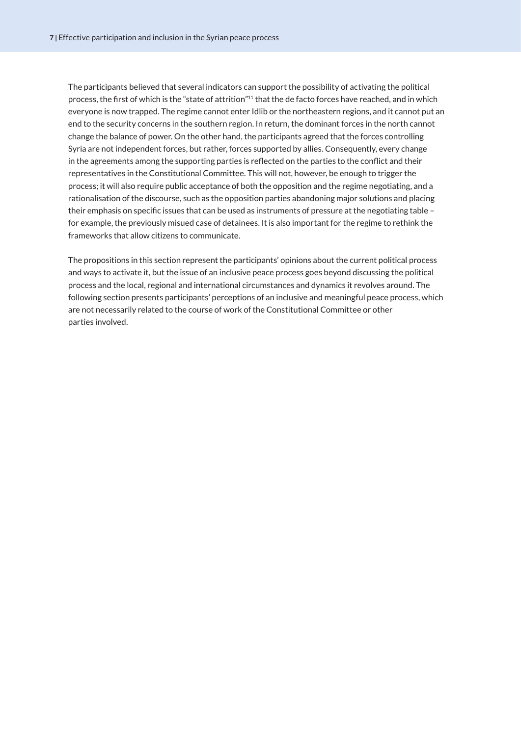<span id="page-8-0"></span>The participants believed that several indicators can support the possibility of activating the political process, the first of which is the "state of attrition"[11](#page-24-0) that the de facto forces have reached, and in which everyone is now trapped. The regime cannot enter Idlib or the northeastern regions, and it cannot put an end to the security concerns in the southern region. In return, the dominant forces in the north cannot change the balance of power. On the other hand, the participants agreed that the forces controlling Syria are not independent forces, but rather, forces supported by allies. Consequently, every change in the agreements among the supporting parties is reflected on the parties to the conflict and their representatives in the Constitutional Committee. This will not, however, be enough to trigger the process; it will also require public acceptance of both the opposition and the regime negotiating, and a rationalisation of the discourse, such as the opposition parties abandoning major solutions and placing their emphasis on specific issues that can be used as instruments of pressure at the negotiating table – for example, the previously misued case of detainees. It is also important for the regime to rethink the frameworks that allow citizens to communicate.

The propositions in this section represent the participants' opinions about the current political process and ways to activate it, but the issue of an inclusive peace process goes beyond discussing the political process and the local, regional and international circumstances and dynamics it revolves around. The following section presents participants' perceptions of an inclusive and meaningful peace process, which are not necessarily related to the course of work of the Constitutional Committee or other parties involved.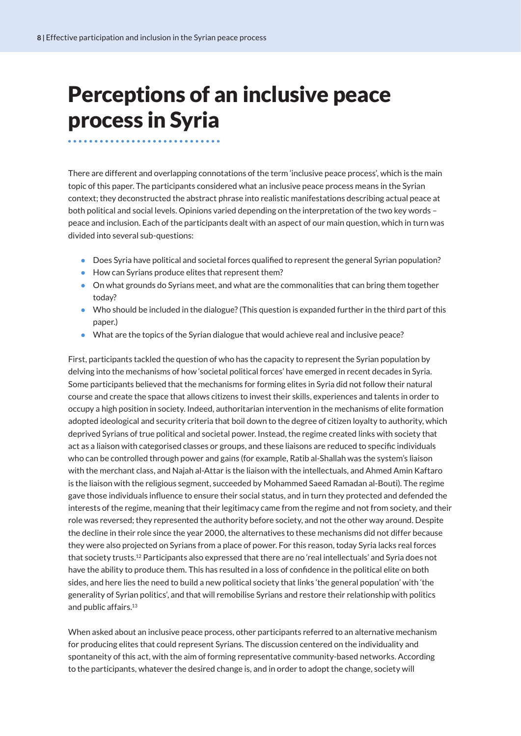### <span id="page-9-0"></span>Perceptions of an inclusive peace process in Syria

There are different and overlapping connotations of the term 'inclusive peace process', which is the main topic of this paper. The participants considered what an inclusive peace process means in the Syrian context; they deconstructed the abstract phrase into realistic manifestations describing actual peace at both political and social levels. Opinions varied depending on the interpretation of the two key words – peace and inclusion. Each of the participants dealt with an aspect of our main question, which in turn was divided into several sub-questions:

- Does Syria have political and societal forces qualified to represent the general Syrian population?
- How can Syrians produce elites that represent them?
- On what grounds do Syrians meet, and what are the commonalities that can bring them together today?
- Who should be included in the dialogue? (This question is expanded further in the third part of this paper.)
- What are the topics of the Syrian dialogue that would achieve real and inclusive peace?

First, participants tackled the question of who has the capacity to represent the Syrian population by delving into the mechanisms of how 'societal political forces' have emerged in recent decades in Syria. Some participants believed that the mechanisms for forming elites in Syria did not follow their natural course and create the space that allows citizens to invest their skills, experiences and talents in order to occupy a high position in society. Indeed, authoritarian intervention in the mechanisms of elite formation adopted ideological and security criteria that boil down to the degree of citizen loyalty to authority, which deprived Syrians of true political and societal power. Instead, the regime created links with society that act as a liaison with categorised classes or groups, and these liaisons are reduced to specific individuals who can be controlled through power and gains (for example, Ratib al-Shallah was the system's liaison with the merchant class, and Najah al-Attar is the liaison with the intellectuals, and Ahmed Amin Kaftaro is the liaison with the religious segment, succeeded by Mohammed Saeed Ramadan al-Bouti). The regime gave those individuals influence to ensure their social status, and in turn they protected and defended the interests of the regime, meaning that their legitimacy came from the regime and not from society, and their role was reversed; they represented the authority before society, and not the other way around. Despite the decline in their role since the year 2000, the alternatives to these mechanisms did not differ because they were also projected on Syrians from a place of power. For this reason, today Syria lacks real forces that society trusts[.12](#page-24-0) Participants also expressed that there are no 'real intellectuals' and Syria does not have the ability to produce them. This has resulted in a loss of confidence in the political elite on both sides, and here lies the need to build a new political society that links 'the general population' with 'the generality of Syrian politics', and that will remobilise Syrians and restore their relationship with politics and public affairs.<sup>13</sup>

When asked about an inclusive peace process, other participants referred to an alternative mechanism for producing elites that could represent Syrians. The discussion centered on the individuality and spontaneity of this act, with the aim of forming representative community-based networks. According to the participants, whatever the desired change is, and in order to adopt the change, society will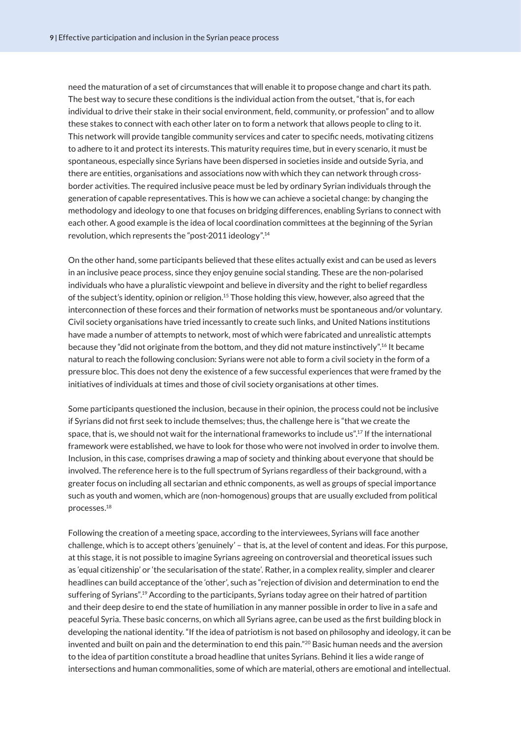<span id="page-10-0"></span>need the maturation of a set of circumstances that will enable it to propose change and chart its path. The best way to secure these conditions is the individual action from the outset, "that is, for each individual to drive their stake in their social environment, field, community, or profession" and to allow these stakes to connect with each other later on to form a network that allows people to cling to it. This network will provide tangible community services and cater to specific needs, motivating citizens to adhere to it and protect its interests. This maturity requires time, but in every scenario, it must be spontaneous, especially since Syrians have been dispersed in societies inside and outside Syria, and there are entities, organisations and associations now with which they can network through crossborder activities. The required inclusive peace must be led by ordinary Syrian individuals through the generation of capable representatives. This is how we can achieve a societal change: by changing the methodology and ideology to one that focuses on bridging differences, enabling Syrians to connect with each other. A good example is the idea of local coordination committees at the beginning of the Syrian revolution, which represents the "post-2011 ideology"[.14](#page-24-0)

On the other hand, some participants believed that these elites actually exist and can be used as levers in an inclusive peace process, since they enjoy genuine social standing. These are the non-polarised individuals who have a pluralistic viewpoint and believe in diversity and the right to belief regardless of the subject's identity, opinion or religion[.15](#page-24-0) Those holding this view, however, also agreed that the interconnection of these forces and their formation of networks must be spontaneous and/or voluntary. Civil society organisations have tried incessantly to create such links, and United Nations institutions have made a number of attempts to network, most of which were fabricated and unrealistic attempts because they "did not originate from the bottom, and they did not mature instinctively"[.16](#page-24-0) It became natural to reach the following conclusion: Syrians were not able to form a civil society in the form of a pressure bloc. This does not deny the existence of a few successful experiences that were framed by the initiatives of individuals at times and those of civil society organisations at other times.

Some participants questioned the inclusion, because in their opinion, the process could not be inclusive if Syrians did not first seek to include themselves; thus, the challenge here is "that we create the space, that is, we should not wait for the international frameworks to include us"[.17](#page-24-0) If the international framework were established, we have to look for those who were not involved in order to involve them. Inclusion, in this case, comprises drawing a map of society and thinking about everyone that should be involved. The reference here is to the full spectrum of Syrians regardless of their background, with a greater focus on including all sectarian and ethnic components, as well as groups of special importance such as youth and women, which are (non-homogenous) groups that are usually excluded from political processes[.18](#page-24-0)

Following the creation of a meeting space, according to the interviewees, Syrians will face another challenge, which is to accept others 'genuinely' – that is, at the level of content and ideas. For this purpose, at this stage, it is not possible to imagine Syrians agreeing on controversial and theoretical issues such as 'equal citizenship' or 'the secularisation of the state'. Rather, in a complex reality, simpler and clearer headlines can build acceptance of the 'other', such as "rejection of division and determination to end the suffering of Syrians"[.19](#page-24-0) According to the participants, Syrians today agree on their hatred of partition and their deep desire to end the state of humiliation in any manner possible in order to live in a safe and peaceful Syria. These basic concerns, on which all Syrians agree, can be used as the first building block in developing the national identity. "If the idea of patriotism is not based on philosophy and ideology, it can be invented and built on pain and the determination to end this pain.["20](#page-24-0) Basic human needs and the aversion to the idea of partition constitute a broad headline that unites Syrians. Behind it lies a wide range of intersections and human commonalities, some of which are material, others are emotional and intellectual.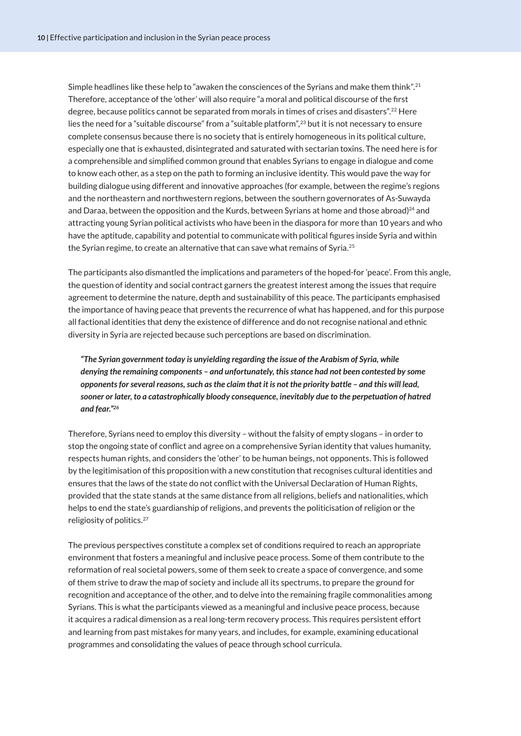<span id="page-11-0"></span>Simple headlines like these help to "awaken the consciences of the Syrians and make them think".[21](#page-24-0) Therefore, acceptance of the 'other' will also require "a moral and political discourse of the first degree, because politics cannot be separated from morals in times of crises and disasters".[22](#page-24-0) Here lies the need for a "suitable discourse" from a "suitable platform",[23](#page-24-0) but it is not necessary to ensure complete consensus because there is no society that is entirely homogeneous in its political culture, especially one that is exhausted, disintegrated and saturated with sectarian toxins. The need here is for a comprehensible and simplified common ground that enables Syrians to engage in dialogue and come to know each other, as a step on the path to forming an inclusive identity. This would pave the way for building dialogue using different and innovative approaches (for example, between the regime's regions and the northeastern and northwestern regions, between the southern governorates of As-Suwayda and Daraa, between the opposition and the Kurds, between Syrians at home and those abroad)<sup>24</sup> and attracting young Syrian political activists who have been in the diaspora for more than 10 years and who have the aptitude, capability and potential to communicate with political figures inside Syria and within the Syrian regime, to create an alternative that can save what remains of Syria.<sup>[25](#page-24-0)</sup>

The participants also dismantled the implications and parameters of the hoped-for 'peace'. From this angle, the question of identity and social contract garners the greatest interest among the issues that require agreement to determine the nature, depth and sustainability of this peace. The participants emphasised the importance of having peace that prevents the recurrence of what has happened, and for this purpose all factional identities that deny the existence of difference and do not recognise national and ethnic diversity in Syria are rejected because such perceptions are based on discrimination.

*"The Syrian government today is unyielding regarding the issue of the Arabism of Syria, while denying the remaining components – and unfortunately, this stance had not been contested by some opponents for several reasons, such as the claim that it is not the priority battle – and this will lead, sooner or later, to a catastrophically bloody consequence, inevitably due to the perpetuation of hatred and fear."[26](#page-24-0)*

Therefore, Syrians need to employ this diversity – without the falsity of empty slogans – in order to stop the ongoing state of conflict and agree on a comprehensive Syrian identity that values humanity, respects human rights, and considers the 'other' to be human beings, not opponents. This is followed by the legitimisation of this proposition with a new constitution that recognises cultural identities and ensures that the laws of the state do not conflict with the Universal Declaration of Human Rights, provided that the state stands at the same distance from all religions, beliefs and nationalities, which helps to end the state's guardianship of religions, and prevents the politicisation of religion or the religiosity of politics[.27](#page-24-0)

The previous perspectives constitute a complex set of conditions required to reach an appropriate environment that fosters a meaningful and inclusive peace process. Some of them contribute to the reformation of real societal powers, some of them seek to create a space of convergence, and some of them strive to draw the map of society and include all its spectrums, to prepare the ground for recognition and acceptance of the other, and to delve into the remaining fragile commonalities among Syrians. This is what the participants viewed as a meaningful and inclusive peace process, because it acquires a radical dimension as a real long-term recovery process. This requires persistent effort and learning from past mistakes for many years, and includes, for example, examining educational programmes and consolidating the values of peace through school curricula.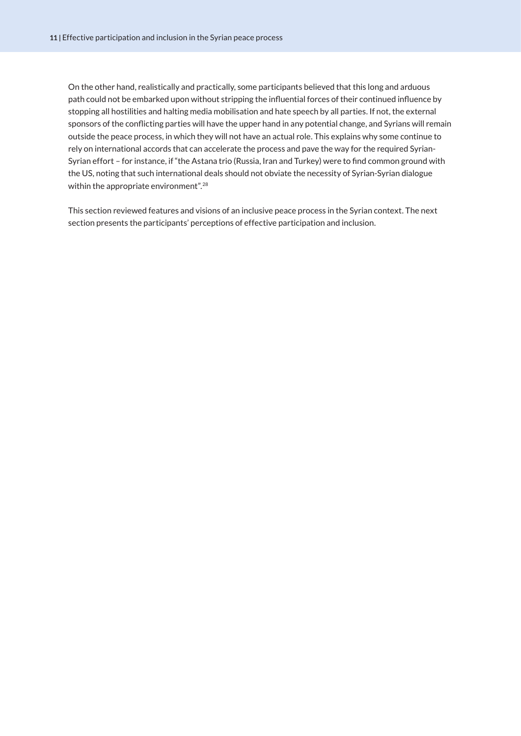<span id="page-12-0"></span>On the other hand, realistically and practically, some participants believed that this long and arduous path could not be embarked upon without stripping the influential forces of their continued influence by stopping all hostilities and halting media mobilisation and hate speech by all parties. If not, the external sponsors of the conflicting parties will have the upper hand in any potential change, and Syrians will remain outside the peace process, in which they will not have an actual role. This explains why some continue to rely on international accords that can accelerate the process and pave the way for the required Syrian-Syrian effort – for instance, if "the Astana trio (Russia, Iran and Turkey) were to find common ground with the US, noting that such international deals should not obviate the necessity of Syrian-Syrian dialogue within the appropriate environment".<sup>28</sup>

This section reviewed features and visions of an inclusive peace process in the Syrian context. The next section presents the participants' perceptions of effective participation and inclusion.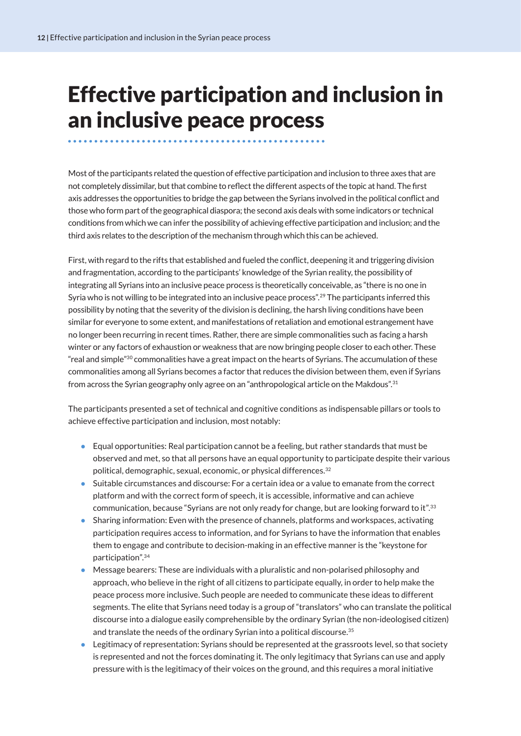### <span id="page-13-0"></span>Effective participation and inclusion in an inclusive peace process

Most of the participants related the question of effective participation and inclusion to three axes that are not completely dissimilar, but that combine to reflect the different aspects of the topic at hand. The first axis addresses the opportunities to bridge the gap between the Syrians involved in the political conflict and those who form part of the geographical diaspora; the second axis deals with some indicators or technical conditions from which we can infer the possibility of achieving effective participation and inclusion; and the third axis relates to the description of the mechanism through which this can be achieved.

First, with regard to the rifts that established and fueled the conflict, deepening it and triggering division and fragmentation, according to the participants' knowledge of the Syrian reality, the possibility of integrating all Syrians into an inclusive peace process is theoretically conceivable, as "there is no one in Syria who is not willing to be integrated into an inclusive peace process".<sup>29</sup> The participants inferred this possibility by noting that the severity of the division is declining, the harsh living conditions have been similar for everyone to some extent, and manifestations of retaliation and emotional estrangement have no longer been recurring in recent times. Rather, there are simple commonalities such as facing a harsh winter or any factors of exhaustion or weakness that are now bringing people closer to each other. These "real and simple"[30](#page-24-0) commonalities have a great impact on the hearts of Syrians. The accumulation of these commonalities among all Syrians becomes a factor that reduces the division between them, even if Syrians from across the Syrian geography only agree on an "anthropological article on the Makdous".[31](#page-24-0)

The participants presented a set of technical and cognitive conditions as indispensable pillars or tools to achieve effective participation and inclusion, most notably:

- $\bullet$  Equal opportunities: Real participation cannot be a feeling, but rather standards that must be observed and met, so that all persons have an equal opportunity to participate despite their various political, demographic, sexual, economic, or physical differences.<sup>[32](#page-24-0)</sup>
- Suitable circumstances and discourse: For a certain idea or a value to emanate from the correct platform and with the correct form of speech, it is accessible, informative and can achieve communication, because "Syrians are not only ready for change, but are looking forward to it".[33](#page-24-0)
- Sharing information: Even with the presence of channels, platforms and workspaces, activating participation requires access to information, and for Syrians to have the information that enables them to engage and contribute to decision-making in an effective manner is the "keystone for participation".[34](#page-24-0)
- Message bearers: These are individuals with a pluralistic and non-polarised philosophy and approach, who believe in the right of all citizens to participate equally, in order to help make the peace process more inclusive. Such people are needed to communicate these ideas to different segments. The elite that Syrians need today is a group of "translators" who can translate the political discourse into a dialogue easily comprehensible by the ordinary Syrian (the non-ideologised citizen) and translate the needs of the ordinary Syrian into a political discourse.<sup>[35](#page-24-0)</sup>
- Legitimacy of representation: Syrians should be represented at the grassroots level, so that society is represented and not the forces dominating it. The only legitimacy that Syrians can use and apply pressure with is the legitimacy of their voices on the ground, and this requires a moral initiative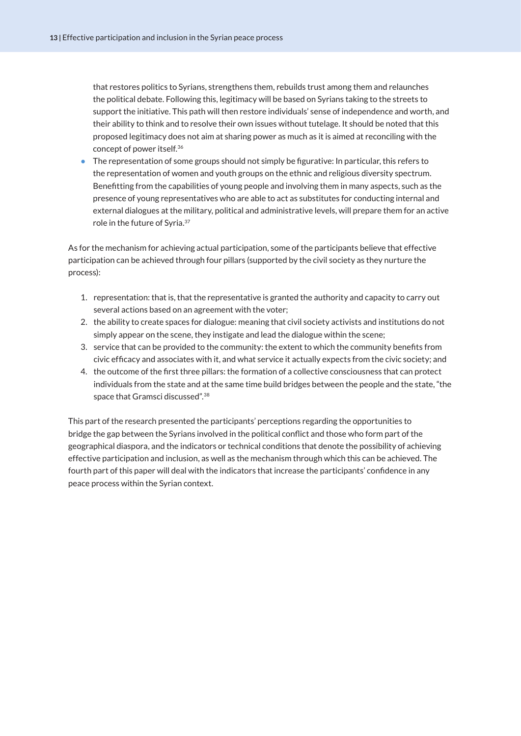<span id="page-14-0"></span>that restores politics to Syrians, strengthens them, rebuilds trust among them and relaunches the political debate. Following this, legitimacy will be based on Syrians taking to the streets to support the initiative. This path will then restore individuals' sense of independence and worth, and their ability to think and to resolve their own issues without tutelage. It should be noted that this proposed legitimacy does not aim at sharing power as much as it is aimed at reconciling with the concept of power itself.[36](#page-24-0)

● The representation of some groups should not simply be figurative: In particular, this refers to the representation of women and youth groups on the ethnic and religious diversity spectrum. Benefitting from the capabilities of young people and involving them in many aspects, such as the presence of young representatives who are able to act as substitutes for conducting internal and external dialogues at the military, political and administrative levels, will prepare them for an active role in the future of Syria.[37](#page-24-0)

As for the mechanism for achieving actual participation, some of the participants believe that effective participation can be achieved through four pillars (supported by the civil society as they nurture the process):

- 1. representation: that is, that the representative is granted the authority and capacity to carry out several actions based on an agreement with the voter;
- 2. the ability to create spaces for dialogue: meaning that civil society activists and institutions do not simply appear on the scene, they instigate and lead the dialogue within the scene;
- 3. service that can be provided to the community: the extent to which the community benefits from civic efficacy and associates with it, and what service it actually expects from the civic society; and
- 4. the outcome of the first three pillars: the formation of a collective consciousness that can protect individuals from the state and at the same time build bridges between the people and the state, "the space that Gramsci discussed".[38](#page-24-0)

This part of the research presented the participants' perceptions regarding the opportunities to bridge the gap between the Syrians involved in the political conflict and those who form part of the geographical diaspora, and the indicators or technical conditions that denote the possibility of achieving effective participation and inclusion, as well as the mechanism through which this can be achieved. The fourth part of this paper will deal with the indicators that increase the participants' confidence in any peace process within the Syrian context.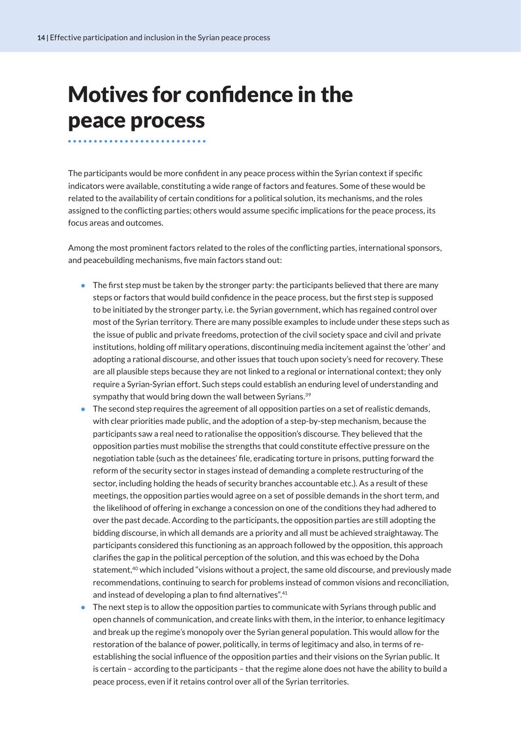### <span id="page-15-0"></span>Motives for confidence in the peace process

The participants would be more confident in any peace process within the Syrian context if specific indicators were available, constituting a wide range of factors and features. Some of these would be related to the availability of certain conditions for a political solution, its mechanisms, and the roles assigned to the conflicting parties; others would assume specific implications for the peace process, its focus areas and outcomes.

Among the most prominent factors related to the roles of the conflicting parties, international sponsors, and peacebuilding mechanisms, five main factors stand out:

- The first step must be taken by the stronger party: the participants believed that there are many steps or factors that would build confidence in the peace process, but the first step is supposed to be initiated by the stronger party, i.e. the Syrian government, which has regained control over most of the Syrian territory. There are many possible examples to include under these steps such as the issue of public and private freedoms, protection of the civil society space and civil and private institutions, holding off military operations, discontinuing media incitement against the 'other' and adopting a rational discourse, and other issues that touch upon society's need for recovery. These are all plausible steps because they are not linked to a regional or international context; they only require a Syrian-Syrian effort. Such steps could establish an enduring level of understanding and sympathy that would bring down the wall between Syrians.<sup>[39](#page-24-0)</sup>
- The second step requires the agreement of all opposition parties on a set of realistic demands, with clear priorities made public, and the adoption of a step-by-step mechanism, because the participants saw a real need to rationalise the opposition's discourse. They believed that the opposition parties must mobilise the strengths that could constitute effective pressure on the negotiation table (such as the detainees' file, eradicating torture in prisons, putting forward the reform of the security sector in stages instead of demanding a complete restructuring of the sector, including holding the heads of security branches accountable etc.). As a result of these meetings, the opposition parties would agree on a set of possible demands in the short term, and the likelihood of offering in exchange a concession on one of the conditions they had adhered to over the past decade. According to the participants, the opposition parties are still adopting the bidding discourse, in which all demands are a priority and all must be achieved straightaway. The participants considered this functioning as an approach followed by the opposition, this approach clarifies the gap in the political perception of the solution, and this was echoed by the Doha statement,<sup>40</sup> which included "visions without a project, the same old discourse, and previously made recommendations, continuing to search for problems instead of common visions and reconciliation, and instead of developing a plan to find alternatives".[41](#page-24-0)
- The next step is to allow the opposition parties to communicate with Syrians through public and open channels of communication, and create links with them, in the interior, to enhance legitimacy and break up the regime's monopoly over the Syrian general population. This would allow for the restoration of the balance of power, politically, in terms of legitimacy and also, in terms of reestablishing the social influence of the opposition parties and their visions on the Syrian public. It is certain – according to the participants – that the regime alone does not have the ability to build a peace process, even if it retains control over all of the Syrian territories.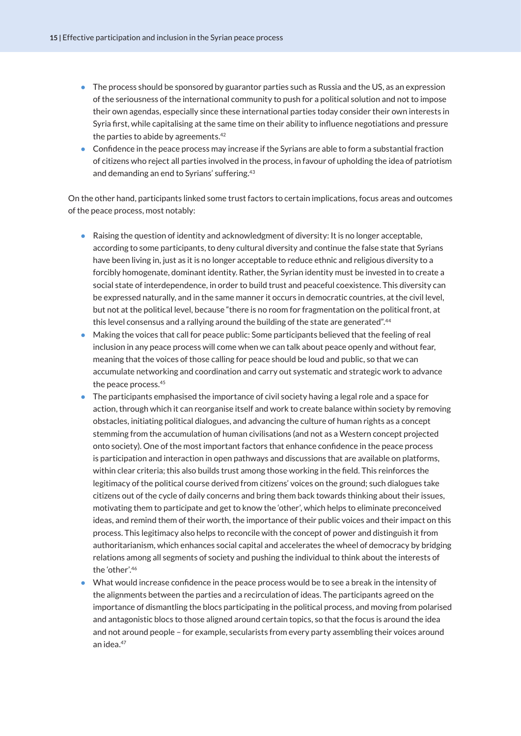- <span id="page-16-0"></span>● The process should be sponsored by guarantor parties such as Russia and the US, as an expression of the seriousness of the international community to push for a political solution and not to impose their own agendas, especially since these international parties today consider their own interests in Syria first, while capitalising at the same time on their ability to influence negotiations and pressure the parties to abide by agreements.[42](#page-24-0)
- Confidence in the peace process may increase if the Syrians are able to form a substantial fraction of citizens who reject all parties involved in the process, in favour of upholding the idea of patriotism and demanding an end to Syrians' suffering[.43](#page-24-0)

On the other hand, participants linked some trust factors to certain implications, focus areas and outcomes of the peace process, most notably:

- Raising the question of identity and acknowledgment of diversity: It is no longer acceptable, according to some participants, to deny cultural diversity and continue the false state that Syrians have been living in, just as it is no longer acceptable to reduce ethnic and religious diversity to a forcibly homogenate, dominant identity. Rather, the Syrian identity must be invested in to create a social state of interdependence, in order to build trust and peaceful coexistence. This diversity can be expressed naturally, and in the same manner it occurs in democratic countries, at the civil level, but not at the political level, because "there is no room for fragmentation on the political front, at this level consensus and a rallying around the building of the state are generated".<sup>44</sup>
- Making the voices that call for peace public: Some participants believed that the feeling of real inclusion in any peace process will come when we can talk about peace openly and without fear, meaning that the voices of those calling for peace should be loud and public, so that we can accumulate networking and coordination and carry out systematic and strategic work to advance the peace process.[45](#page-24-0)
- The participants emphasised the importance of civil society having a legal role and a space for action, through which it can reorganise itself and work to create balance within society by removing obstacles, initiating political dialogues, and advancing the culture of human rights as a concept stemming from the accumulation of human civilisations (and not as a Western concept projected onto society). One of the most important factors that enhance confidence in the peace process is participation and interaction in open pathways and discussions that are available on platforms, within clear criteria; this also builds trust among those working in the field. This reinforces the legitimacy of the political course derived from citizens' voices on the ground; such dialogues take citizens out of the cycle of daily concerns and bring them back towards thinking about their issues, motivating them to participate and get to know the 'other', which helps to eliminate preconceived ideas, and remind them of their worth, the importance of their public voices and their impact on this process. This legitimacy also helps to reconcile with the concept of power and distinguish it from authoritarianism, which enhances social capital and accelerates the wheel of democracy by bridging relations among all segments of society and pushing the individual to think about the interests of the 'other'[.46](#page-24-0)
- What would increase confidence in the peace process would be to see a break in the intensity of the alignments between the parties and a recirculation of ideas. The participants agreed on the importance of dismantling the blocs participating in the political process, and moving from polarised and antagonistic blocs to those aligned around certain topics, so that the focus is around the idea and not around people – for example, secularists from every party assembling their voices around an idea.<sup>[47](#page-24-0)</sup>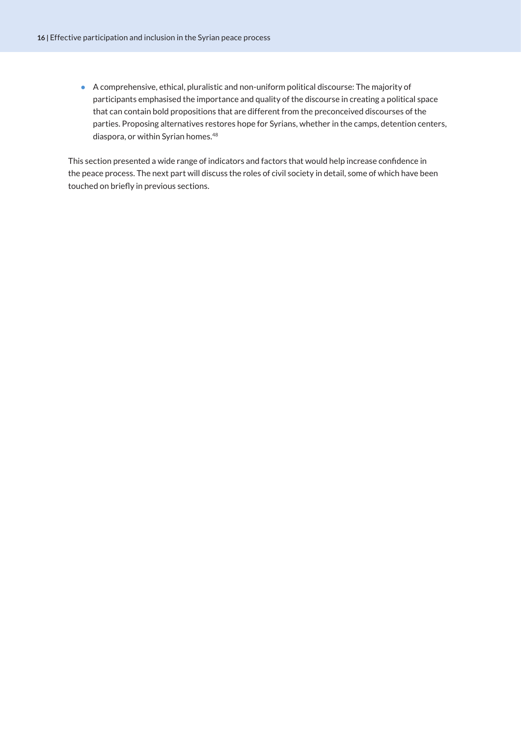<span id="page-17-0"></span>● A comprehensive, ethical, pluralistic and non-uniform political discourse: The majority of participants emphasised the importance and quality of the discourse in creating a political space that can contain bold propositions that are different from the preconceived discourses of the parties. Proposing alternatives restores hope for Syrians, whether in the camps, detention centers, diaspora, or within Syrian homes.<sup>[48](#page-24-0)</sup>

This section presented a wide range of indicators and factors that would help increase confidence in the peace process. The next part will discuss the roles of civil society in detail, some of which have been touched on briefly in previous sections.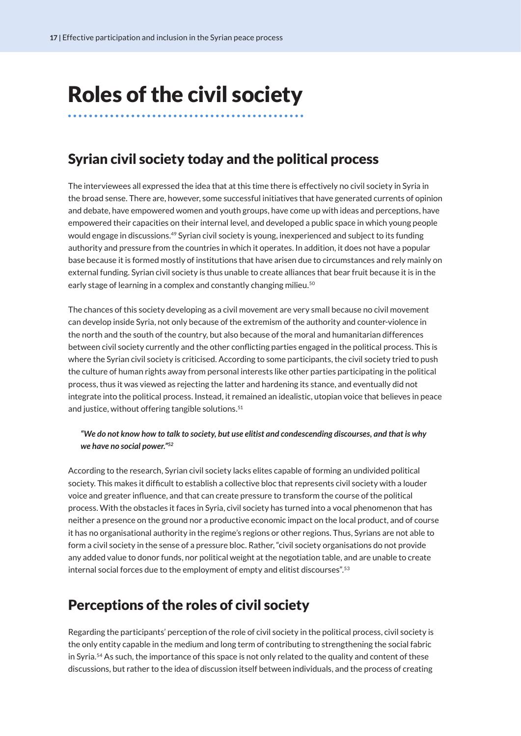### <span id="page-18-0"></span>Roles of the civil society

#### Syrian civil society today and the political process

The interviewees all expressed the idea that at this time there is effectively no civil society in Syria in the broad sense. There are, however, some successful initiatives that have generated currents of opinion and debate, have empowered women and youth groups, have come up with ideas and perceptions, have empowered their capacities on their internal level, and developed a public space in which young people would engage in discussions[.49](#page-24-0) Syrian civil society is young, inexperienced and subject to its funding authority and pressure from the countries in which it operates. In addition, it does not have a popular base because it is formed mostly of institutions that have arisen due to circumstances and rely mainly on external funding. Syrian civil society is thus unable to create alliances that bear fruit because it is in the early stage of learning in a complex and constantly changing milieu.<sup>50</sup>

The chances of this society developing as a civil movement are very small because no civil movement can develop inside Syria, not only because of the extremism of the authority and counter-violence in the north and the south of the country, but also because of the moral and humanitarian differences between civil society currently and the other conflicting parties engaged in the political process. This is where the Syrian civil society is criticised. According to some participants, the civil society tried to push the culture of human rights away from personal interests like other parties participating in the political process, thus it was viewed as rejecting the latter and hardening its stance, and eventually did not integrate into the political process. Instead, it remained an idealistic, utopian voice that believes in peace and justice, without offering tangible solutions.<sup>[51](#page-24-0)</sup>

#### *"We do not know how to talk to society, but use elitist and condescending discourses, and that is why we have no social power."[52](#page-24-0)*

According to the research, Syrian civil society lacks elites capable of forming an undivided political society. This makes it difficult to establish a collective bloc that represents civil society with a louder voice and greater influence, and that can create pressure to transform the course of the political process. With the obstacles it faces in Syria, civil society has turned into a vocal phenomenon that has neither a presence on the ground nor a productive economic impact on the local product, and of course it has no organisational authority in the regime's regions or other regions. Thus, Syrians are not able to form a civil society in the sense of a pressure bloc. Rather, "civil society organisations do not provide any added value to donor funds, nor political weight at the negotiation table, and are unable to create internal social forces due to the employment of empty and elitist discourses".<sup>53</sup>

#### Perceptions of the roles of civil society

Regarding the participants' perception of the role of civil society in the political process, civil society is the only entity capable in the medium and long term of contributing to strengthening the social fabric in Syria.[54](#page-25-0) As such, the importance of this space is not only related to the quality and content of these discussions, but rather to the idea of discussion itself between individuals, and the process of creating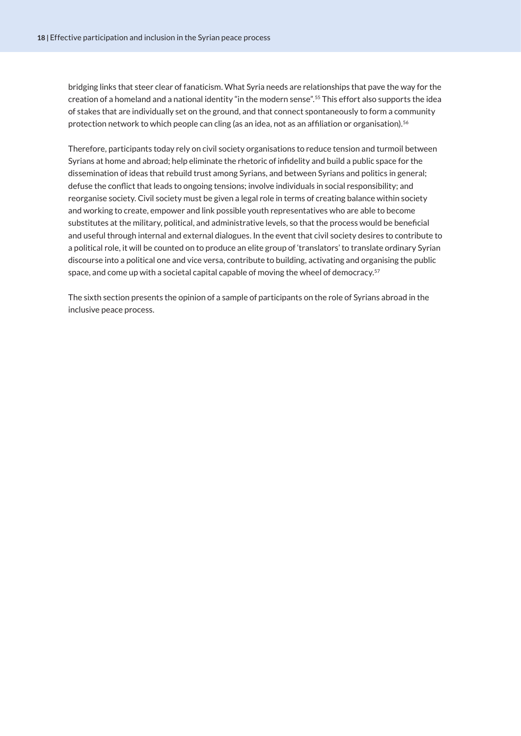<span id="page-19-0"></span>bridging links that steer clear of fanaticism. What Syria needs are relationships that pave the way for the creation of a homeland and a national identity "in the modern sense".[55](#page-25-0) This effort also supports the idea of stakes that are individually set on the ground, and that connect spontaneously to form a community protection network to which people can cling (as an idea, not as an affiliation or organisation).<sup>[56](#page-25-0)</sup>

Therefore, participants today rely on civil society organisations to reduce tension and turmoil between Syrians at home and abroad; help eliminate the rhetoric of infidelity and build a public space for the dissemination of ideas that rebuild trust among Syrians, and between Syrians and politics in general; defuse the conflict that leads to ongoing tensions; involve individuals in social responsibility; and reorganise society. Civil society must be given a legal role in terms of creating balance within society and working to create, empower and link possible youth representatives who are able to become substitutes at the military, political, and administrative levels, so that the process would be beneficial and useful through internal and external dialogues. In the event that civil society desires to contribute to a political role, it will be counted on to produce an elite group of 'translators' to translate ordinary Syrian discourse into a political one and vice versa, contribute to building, activating and organising the public space, and come up with a societal capital capable of moving the wheel of democracy.<sup>[57](#page-25-0)</sup>

The sixth section presents the opinion of a sample of participants on the role of Syrians abroad in the inclusive peace process.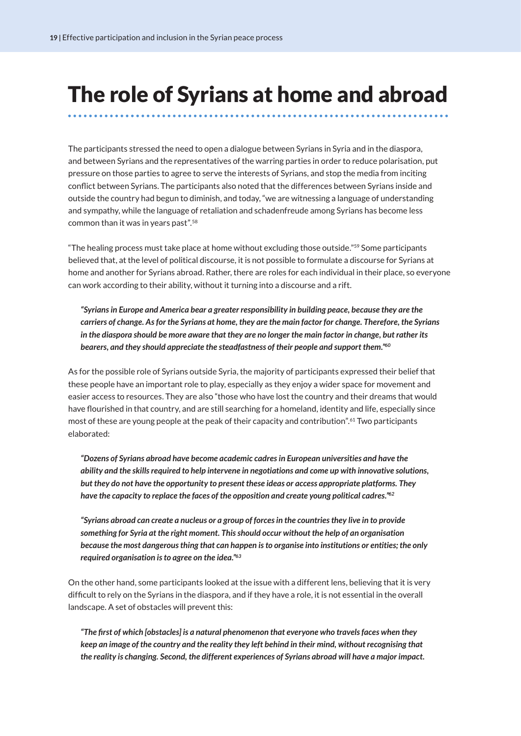#### <span id="page-20-0"></span>The role of Syrians at home and abroad

The participants stressed the need to open a dialogue between Syrians in Syria and in the diaspora, and between Syrians and the representatives of the warring parties in order to reduce polarisation, put pressure on those parties to agree to serve the interests of Syrians, and stop the media from inciting conflict between Syrians. The participants also noted that the differences between Syrians inside and outside the country had begun to diminish, and today, "we are witnessing a language of understanding and sympathy, while the language of retaliation and schadenfreude among Syrians has become less common than it was in years past"[.58](#page-25-0)

"The healing process must take place at home without excluding those outside."<sup>59</sup> Some participants believed that, at the level of political discourse, it is not possible to formulate a discourse for Syrians at home and another for Syrians abroad. Rather, there are roles for each individual in their place, so everyone can work according to their ability, without it turning into a discourse and a rift.

*"Syrians in Europe and America bear a greater responsibility in building peace, because they are the carriers of change. As for the Syrians at home, they are the main factor for change. Therefore, the Syrians in the diaspora should be more aware that they are no longer the main factor in change, but rather its bearers, and they should appreciate the steadfastness of their people and support them."[60](#page-25-0)*

As for the possible role of Syrians outside Syria, the majority of participants expressed their belief that these people have an important role to play, especially as they enjoy a wider space for movement and easier access to resources. They are also "those who have lost the country and their dreams that would have flourished in that country, and are still searching for a homeland, identity and life, especially since most of these are young people at the peak of their capacity and contribution".[61](#page-25-0) Two participants elaborated:

*"Dozens of Syrians abroad have become academic cadres in European universities and have the ability and the skills required to help intervene in negotiations and come up with innovative solutions, but they do not have the opportunity to present these ideas or access appropriate platforms. They have the capacity to replace the faces of the opposition and create young political cadres."[62](#page-25-0)*

*"Syrians abroad can create a nucleus or a group of forces in the countries they live in to provide something for Syria at the right moment. This should occur without the help of an organisation because the most dangerous thing that can happen is to organise into institutions or entities; the only required organisation is to agree on the idea."[63](#page-25-0)*

On the other hand, some participants looked at the issue with a different lens, believing that it is very difficult to rely on the Syrians in the diaspora, and if they have a role, it is not essential in the overall landscape. A set of obstacles will prevent this:

*"The first of which [obstacles] is a natural phenomenon that everyone who travels faces when they keep an image of the country and the reality they left behind in their mind, without recognising that the reality is changing. Second, the different experiences of Syrians abroad will have a major impact.*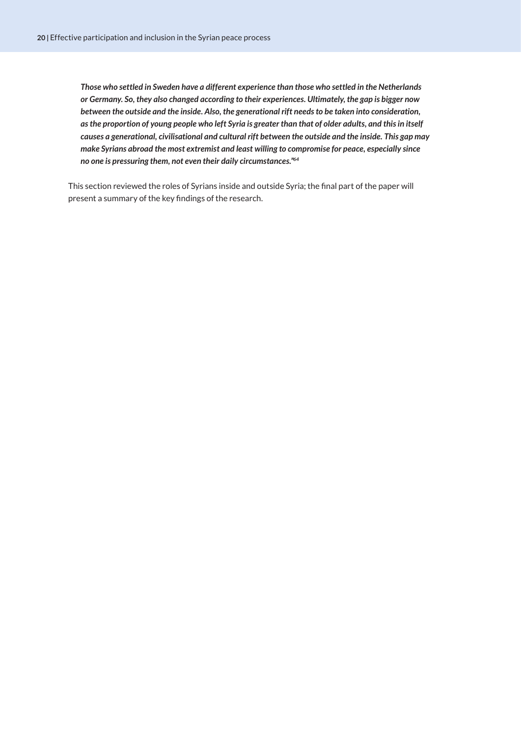<span id="page-21-0"></span>*Those who settled in Sweden have a different experience than those who settled in the Netherlands or Germany. So, they also changed according to their experiences. Ultimately, the gap is bigger now between the outside and the inside. Also, the generational rift needs to be taken into consideration, as the proportion of young people who left Syria is greater than that of older adults, and this in itself causes a generational, civilisational and cultural rift between the outside and the inside. This gap may make Syrians abroad the most extremist and least willing to compromise for peace, especially since no one is pressuring them, not even their daily circumstances."[64](#page-25-0)*

This section reviewed the roles of Syrians inside and outside Syria; the final part of the paper will present a summary of the key findings of the research.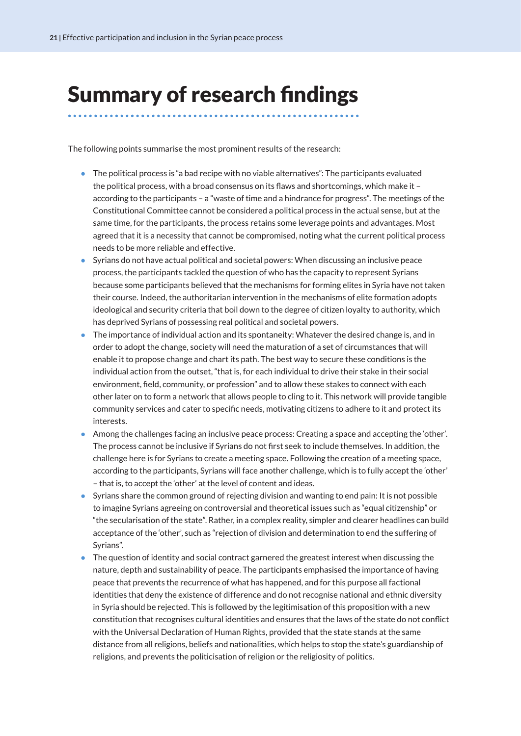### <span id="page-22-0"></span>Summary of research findings

The following points summarise the most prominent results of the research:

- The political process is "a bad recipe with no viable alternatives": The participants evaluated the political process, with a broad consensus on its flaws and shortcomings, which make it – according to the participants – a "waste of time and a hindrance for progress". The meetings of the Constitutional Committee cannot be considered a political process in the actual sense, but at the same time, for the participants, the process retains some leverage points and advantages. Most agreed that it is a necessity that cannot be compromised, noting what the current political process needs to be more reliable and effective.
- Syrians do not have actual political and societal powers: When discussing an inclusive peace process, the participants tackled the question of who has the capacity to represent Syrians because some participants believed that the mechanisms for forming elites in Syria have not taken their course. Indeed, the authoritarian intervention in the mechanisms of elite formation adopts ideological and security criteria that boil down to the degree of citizen loyalty to authority, which has deprived Syrians of possessing real political and societal powers.
- The importance of individual action and its spontaneity: Whatever the desired change is, and in order to adopt the change, society will need the maturation of a set of circumstances that will enable it to propose change and chart its path. The best way to secure these conditions is the individual action from the outset, "that is, for each individual to drive their stake in their social environment, field, community, or profession" and to allow these stakes to connect with each other later on to form a network that allows people to cling to it. This network will provide tangible community services and cater to specific needs, motivating citizens to adhere to it and protect its interests.
- Among the challenges facing an inclusive peace process: Creating a space and accepting the 'other'. The process cannot be inclusive if Syrians do not first seek to include themselves. In addition, the challenge here is for Syrians to create a meeting space. Following the creation of a meeting space, according to the participants, Syrians will face another challenge, which is to fully accept the 'other' – that is, to accept the 'other' at the level of content and ideas.
- Syrians share the common ground of rejecting division and wanting to end pain: It is not possible to imagine Syrians agreeing on controversial and theoretical issues such as "equal citizenship" or "the secularisation of the state". Rather, in a complex reality, simpler and clearer headlines can build acceptance of the 'other', such as "rejection of division and determination to end the suffering of Syrians".
- The question of identity and social contract garnered the greatest interest when discussing the nature, depth and sustainability of peace. The participants emphasised the importance of having peace that prevents the recurrence of what has happened, and for this purpose all factional identities that deny the existence of difference and do not recognise national and ethnic diversity in Syria should be rejected. This is followed by the legitimisation of this proposition with a new constitution that recognises cultural identities and ensures that the laws of the state do not conflict with the Universal Declaration of Human Rights, provided that the state stands at the same distance from all religions, beliefs and nationalities, which helps to stop the state's guardianship of religions, and prevents the politicisation of religion or the religiosity of politics.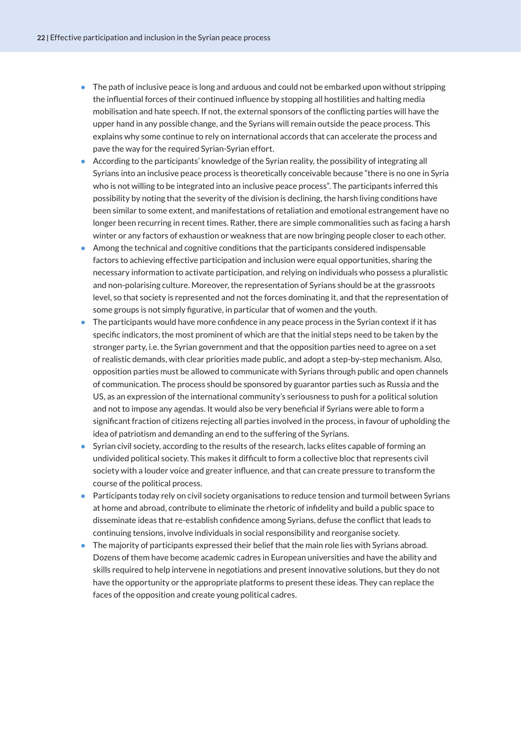- The path of inclusive peace is long and arduous and could not be embarked upon without stripping the influential forces of their continued influence by stopping all hostilities and halting media mobilisation and hate speech. If not, the external sponsors of the conflicting parties will have the upper hand in any possible change, and the Syrians will remain outside the peace process. This explains why some continue to rely on international accords that can accelerate the process and pave the way for the required Syrian-Syrian effort.
- According to the participants' knowledge of the Syrian reality, the possibility of integrating all Syrians into an inclusive peace process is theoretically conceivable because "there is no one in Syria who is not willing to be integrated into an inclusive peace process". The participants inferred this possibility by noting that the severity of the division is declining, the harsh living conditions have been similar to some extent, and manifestations of retaliation and emotional estrangement have no longer been recurring in recent times. Rather, there are simple commonalities such as facing a harsh winter or any factors of exhaustion or weakness that are now bringing people closer to each other.
- Among the technical and cognitive conditions that the participants considered indispensable factors to achieving effective participation and inclusion were equal opportunities, sharing the necessary information to activate participation, and relying on individuals who possess a pluralistic and non-polarising culture. Moreover, the representation of Syrians should be at the grassroots level, so that society is represented and not the forces dominating it, and that the representation of some groups is not simply figurative, in particular that of women and the youth.
- The participants would have more confidence in any peace process in the Syrian context if it has specific indicators, the most prominent of which are that the initial steps need to be taken by the stronger party, i.e. the Syrian government and that the opposition parties need to agree on a set of realistic demands, with clear priorities made public, and adopt a step-by-step mechanism. Also, opposition parties must be allowed to communicate with Syrians through public and open channels of communication. The process should be sponsored by guarantor parties such as Russia and the US, as an expression of the international community's seriousness to push for a political solution and not to impose any agendas. It would also be very beneficial if Syrians were able to form a significant fraction of citizens rejecting all parties involved in the process, in favour of upholding the idea of patriotism and demanding an end to the suffering of the Syrians.
- Syrian civil society, according to the results of the research, lacks elites capable of forming an undivided political society. This makes it difficult to form a collective bloc that represents civil society with a louder voice and greater influence, and that can create pressure to transform the course of the political process.
- Participants today rely on civil society organisations to reduce tension and turmoil between Syrians at home and abroad, contribute to eliminate the rhetoric of infidelity and build a public space to disseminate ideas that re-establish confidence among Syrians, defuse the conflict that leads to continuing tensions, involve individuals in social responsibility and reorganise society.
- The majority of participants expressed their belief that the main role lies with Syrians abroad. Dozens of them have become academic cadres in European universities and have the ability and skills required to help intervene in negotiations and present innovative solutions, but they do not have the opportunity or the appropriate platforms to present these ideas. They can replace the faces of the opposition and create young political cadres.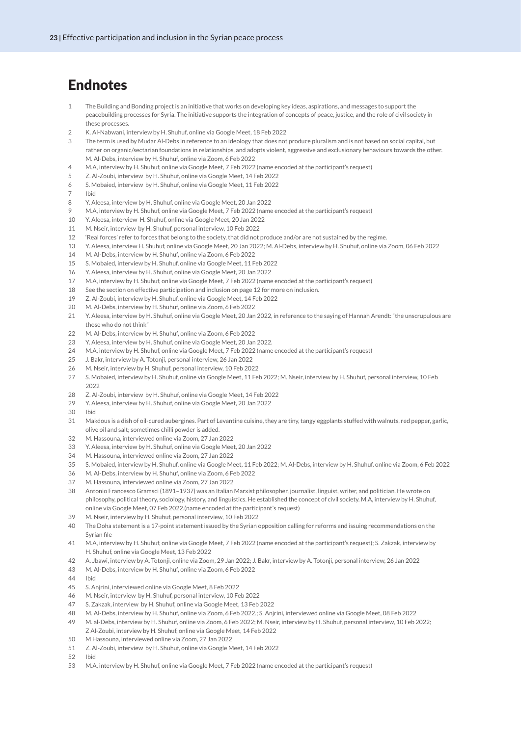#### <span id="page-24-0"></span>Endnotes

- The Building and Bonding project is an initiative that works on developing key ideas, aspirations, and messages to support the peacebuilding processes for Syria. The initiative supports the integration of concepts of peace, justice, and the role of civil society in these processes.
- K. Al-Nabwani, interview by H. Shuhuf, online via Google Meet, 18 Feb 2022
- The term is used by Mudar Al-Debs in reference to an ideology that does not produce pluralism and is not based on social capital, but rather on organic/sectarian foundations in relationships, and adopts violent, aggressive and exclusionary behaviours towards the other. M. Al-Debs, interview by H. Shuhuf, online via Zoom, 6 Feb 2022
- M.A, interview by H. Shuhuf, online via Google Meet, 7 Feb 2022 (name encoded at the participant's request)
- Z. Al-Zoubi, interview by H. Shuhuf, online via Google Meet, 14 Feb 2022
- S. Mobaied, interview by H. Shuhuf, online via Google Meet, 11 Feb 2022
- **Ibid**
- Y. Aleesa, interview by H. Shuhuf, online via Google Meet, 20 Jan 2022
- M.A, interview by H. Shuhuf, online via Google Meet, 7 Feb 2022 (name encoded at the participant's request)
- Y. Aleesa, interview H. Shuhuf, online via Google Meet, 20 Jan 2022
- M. Nseir, interview by H. Shuhuf, personal interview, 10 Feb 2022
- 'Real forces' refer to forces that belong to the society, that did not produce and/or are not sustained by the regime.
- Y. Aleesa, interview H. Shuhuf, online via Google Meet, 20 Jan 2022; M. Al-Debs, interview by H. Shuhuf, online via Zoom, 06 Feb 2022
- M. Al-Debs, interview by H. Shuhuf, online via Zoom, 6 Feb 2022
- S. Mobaied, interview by H. Shuhuf, online via Google Meet, 11 Feb 2022
- Y. Aleesa, interview by H. Shuhuf, online via Google Meet, 20 Jan 2022
- M.A, interview by H. Shuhuf, online via Google Meet, 7 Feb 2022 (name encoded at the participant's request)
- See the section on effective participation and inclusion on page 12 for more on inclusion.
- Z. Al-Zoubi, interview by H. Shuhuf, online via Google Meet, 14 Feb 2022
- M. Al-Debs, interview by H. Shuhuf, online via Zoom, 6 Feb 2022
- Y. Aleesa, interview by H. Shuhuf, online via Google Meet, 20 Jan 2022, in reference to the saying of Hannah Arendt: "the unscrupulous are those who do not think"
- M. Al-Debs, interview by H. Shuhuf, online via Zoom, 6 Feb 2022
- Y. Aleesa, interview by H. Shuhuf, online via Google Meet, 20 Jan 2022.
- M.A, interview by H. Shuhuf, online via Google Meet, 7 Feb 2022 (name encoded at the participant's request)
- J. Bakr, interview by A. Totonji, personal interview, 26 Jan 2022
- M. Nseir, interview by H. Shuhuf, personal interview, 10 Feb 2022
- S. Mobaied, interview by H. Shuhuf, online via Google Meet, 11 Feb 2022; M. Nseir, interview by H. Shuhuf, personal interview, 10 Feb
- Z. Al-Zoubi, interview by H. Shuhuf, online via Google Meet, 14 Feb 2022
- Y. Aleesa, interview by H. Shuhuf, online via Google Meet, 20 Jan 2022
- Ibid
- Makdous is a dish of oil-cured aubergines. Part of Levantine cuisine, they are tiny, tangy eggplants stuffed with walnuts, red pepper, garlic, olive oil and salt; sometimes chilli powder is added.
- M. Hassouna, interviewed online via Zoom, 27 Jan 2022
- Y. Aleesa, interview by H. Shuhuf, online via Google Meet, 20 Jan 2022
- M. Hassouna, interviewed online via Zoom, 27 Jan 2022
- S. Mobaied, interview by H. Shuhuf, online via Google Meet, 11 Feb 2022; M. Al-Debs, interview by H. Shuhuf, online via Zoom, 6 Feb 2022
- M. Al-Debs, interview by H. Shuhuf, online via Zoom, 6 Feb 2022
- M. Hassouna, interviewed online via Zoom, 27 Jan 2022
- Antonio Francesco Gramsci (1891–1937) was an Italian Marxist philosopher, journalist, linguist, writer, and politician. He wrote on philosophy, political theory, sociology, history, and linguistics. He established the concept of civil society. M.A, interview by H. Shuhuf, online via Google Meet, 07 Feb 2022.(name encoded at the participant's request)
- M. Nseir, interview by H. Shuhuf, personal interview, 10 Feb 2022
- The Doha statement is a 17-point statement issued by the Syrian opposition calling for reforms and issuing recommendations on the Syrian file
- M.A, interview by H. Shuhuf, online via Google Meet, 7 Feb 2022 (name encoded at the participant's request); S. Zakzak, interview by H. Shuhuf, online via Google Meet, 13 Feb 2022
- A. Jbawi, interview by A. Totonji, online via Zoom, 29 Jan 2022; J. Bakr, interview by A. Totonji, personal interview, 26 Jan 2022
- M. Al-Debs, interview by H. Shuhuf, online via Zoom, 6 Feb 2022
- Ibid
- S. Anjrini, interviewed online via Google Meet, 8 Feb 2022
- M. Nseir, interview by H. Shuhuf, personal interview, 10 Feb 2022
- S. Zakzak, interview by H. Shuhuf, online via Google Meet, 13 Feb 2022
- M. Al-Debs, interview by H. Shuhuf, online via Zoom, 6 Feb 2022.; S. Anjrini, interviewed online via Google Meet, 08 Feb 2022
- M. al-Debs, interview by H. Shuhuf, online via Zoom, 6 Feb 2022; M. Nseir, interview by H. Shuhuf, personal interview, 10 Feb 2022; Z Al-Zoubi, interview by H. Shuhuf, online via Google Meet, 14 Feb 2022
- M Hassouna, interviewed online via Zoom, 27 Jan 2022
- Z. Al-Zoubi, interview by H. Shuhuf, online via Google Meet, 14 Feb 2022
- 
- M.A, interview by H. Shuhuf, online via Google Meet, 7 Feb 2022 (name encoded at the participant's request)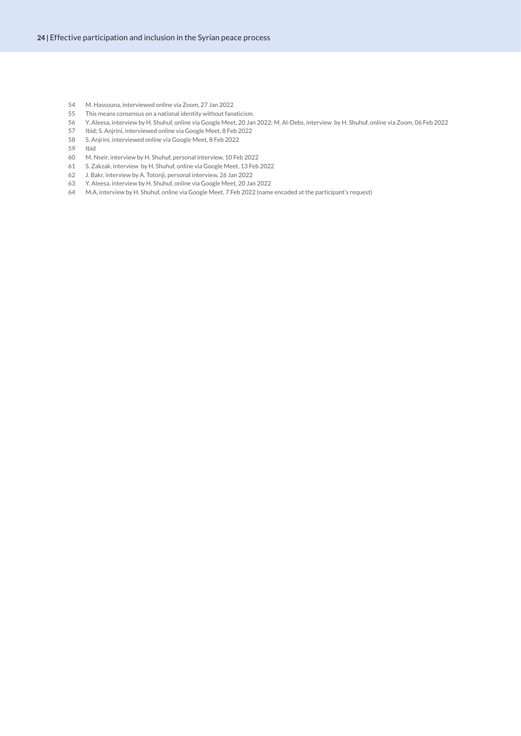- <span id="page-25-0"></span>M. Hassouna, interviewed online via Zoom, 27 Jan 2022
- This means consensus on a national identity without fanaticism.
- Y. Aleesa, interview by H. Shuhuf, online via Google Meet, 20 Jan 2022; M. Al-Debs, interview by H. Shuhuf, online via Zoom, 06 Feb 2022
- Ibid; S. Anjrini, interviewed online via Google Meet, 8 Feb 2022
- S. Anjrini, interviewed online via Google Meet, 8 Feb 2022
- Ibid
- M. Nseir, interview by H. Shuhuf, personal interview, 10 Feb 2022
- S. Zakzak, interview by H. Shuhuf, online via Google Meet, 13 Feb 2022
- J. Bakr, interview by A. Totonji, personal interview, 26 Jan 2022
- Y. Aleesa, interview by H. Shuhuf, online via Google Meet, 20 Jan 2022
- M.A, interview by H. Shuhuf, online via Google Meet, 7 Feb 2022 (name encoded at the participant's request)